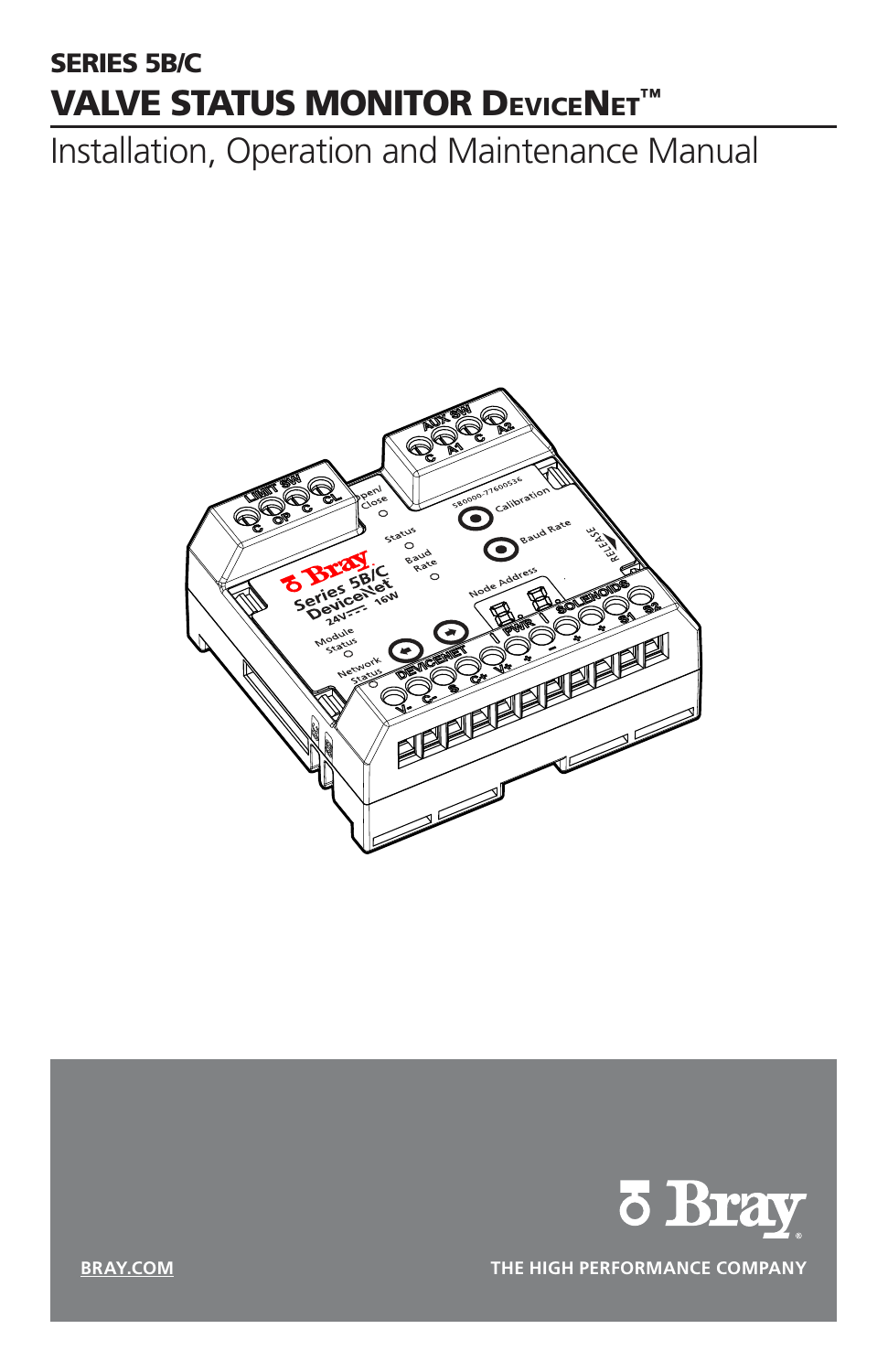# SERIES 5B/C **VALVE STATUS MONITOR DEVICENET™**

Installation, Operation and Maintenance Manual





**BRAY.COM THE HIGH PERFORMANCE COMPANY**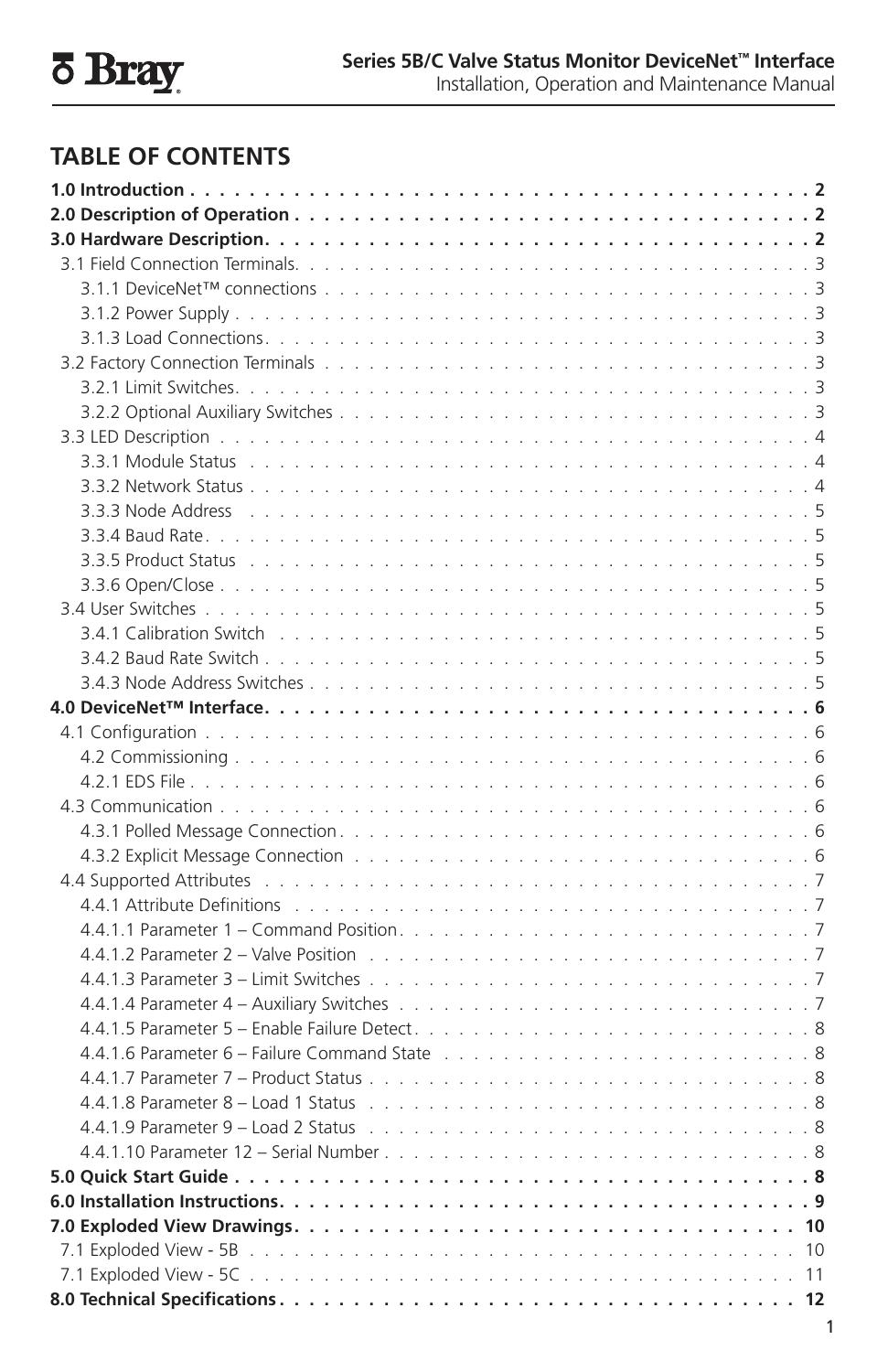# **TABLE OF CONTENTS**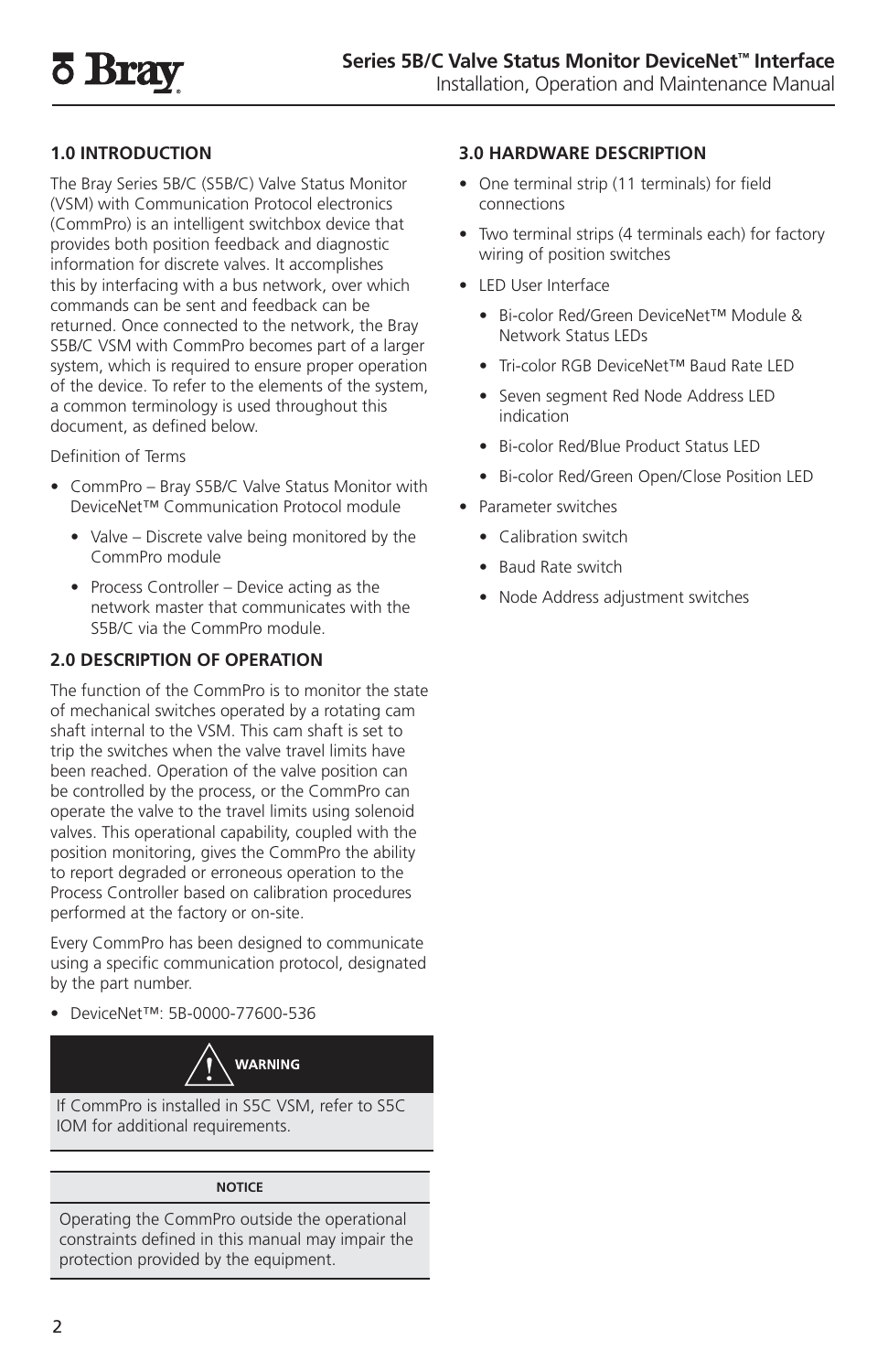# **1.0 INTRODUCTION**

The Bray Series 5B/C (S5B/C) Valve Status Monitor (VSM) with Communication Protocol electronics (CommPro) is an intelligent switchbox device that provides both position feedback and diagnostic information for discrete valves. It accomplishes this by interfacing with a bus network, over which commands can be sent and feedback can be returned. Once connected to the network, the Bray S5B/C VSM with CommPro becomes part of a larger system, which is required to ensure proper operation of the device. To refer to the elements of the system, a common terminology is used throughout this document, as defined below.

Definition of Terms

- CommPro Bray S5B/C Valve Status Monitor with DeviceNet™ Communication Protocol module
	- Valve Discrete valve being monitored by the CommPro module
	- Process Controller Device acting as the network master that communicates with the S5B/C via the CommPro module.

# **2.0 DESCRIPTION OF OPERATION**

The function of the CommPro is to monitor the state of mechanical switches operated by a rotating cam shaft internal to the VSM. This cam shaft is set to trip the switches when the valve travel limits have been reached. Operation of the valve position can be controlled by the process, or the CommPro can operate the valve to the travel limits using solenoid valves. This operational capability, coupled with the position monitoring, gives the CommPro the ability to report degraded or erroneous operation to the Process Controller based on calibration procedures performed at the factory or on-site.

Every CommPro has been designed to communicate using a specific communication protocol, designated by the part number.

• DeviceNet™: 5B-0000-77600-536



If CommPro is installed in S5C VSM, refer to S5C IOM for additional requirements.

#### **NOTICE**

Operating the CommPro outside the operational constraints defined in this manual may impair the protection provided by the equipment.

#### **3.0 HARDWARE DESCRIPTION**

- One terminal strip (11 terminals) for field connections
- Two terminal strips (4 terminals each) for factory wiring of position switches
- LED User Interface
	- Bi-color Red/Green DeviceNet™ Module & Network Status LEDs
	- Tri-color RGB DeviceNet™ Baud Rate LED
	- Seven segment Red Node Address LED indication
	- Bi-color Red/Blue Product Status LED
	- Bi-color Red/Green Open/Close Position LED
- Parameter switches
	- Calibration switch
	- Baud Rate switch
	- Node Address adjustment switches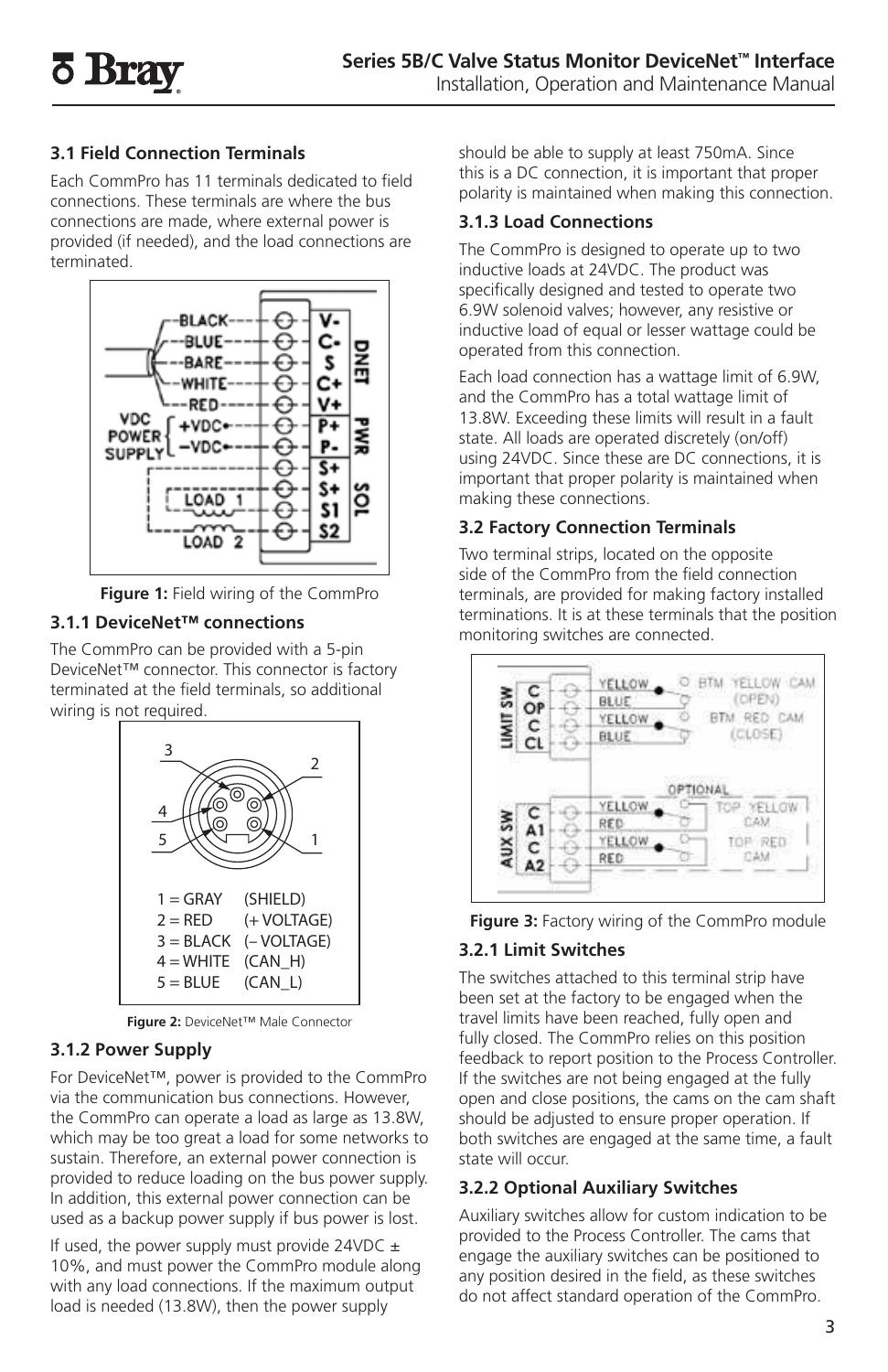# **3.1 Field Connection Terminals**

Each CommPro has 11 terminals dedicated to field connections. These terminals are where the bus connections are made, where external power is provided (if needed), and the load connections are terminated.



**Figure 1:** Field wiring of the CommPro

# **3.1.1 DeviceNet™ connections**

The CommPro can be provided with a 5-pin DeviceNet™ connector. This connector is factory terminated at the field terminals, so additional wiring is not required.



**Figure 2:** DeviceNet™ Male Connector

# **3.1.2 Power Supply**

For DeviceNet™, power is provided to the CommPro via the communication bus connections. However, the CommPro can operate a load as large as 13.8W, which may be too great a load for some networks to sustain. Therefore, an external power connection is provided to reduce loading on the bus power supply. In addition, this external power connection can be used as a backup power supply if bus power is lost.

If used, the power supply must provide 24VDC  $\pm$ 10%, and must power the CommPro module along with any load connections. If the maximum output load is needed (13.8W), then the power supply

should be able to supply at least 750mA. Since this is a DC connection, it is important that proper polarity is maintained when making this connection.

# **3.1.3 Load Connections**

The CommPro is designed to operate up to two inductive loads at 24VDC. The product was specifically designed and tested to operate two 6.9W solenoid valves; however, any resistive or inductive load of equal or lesser wattage could be operated from this connection.

Each load connection has a wattage limit of 6.9W, and the CommPro has a total wattage limit of 13.8W. Exceeding these limits will result in a fault state. All loads are operated discretely (on/off) using 24VDC. Since these are DC connections, it is important that proper polarity is maintained when making these connections.

# **3.2 Factory Connection Terminals**

Two terminal strips, located on the opposite side of the CommPro from the field connection terminals, are provided for making factory installed terminations. It is at these terminals that the position monitoring switches are connected.





# **3.2.1 Limit Switches**

The switches attached to this terminal strip have been set at the factory to be engaged when the travel limits have been reached, fully open and fully closed. The CommPro relies on this position feedback to report position to the Process Controller. If the switches are not being engaged at the fully open and close positions, the cams on the cam shaft should be adjusted to ensure proper operation. If both switches are engaged at the same time, a fault state will occur.

# **3.2.2 Optional Auxiliary Switches**

Auxiliary switches allow for custom indication to be provided to the Process Controller. The cams that engage the auxiliary switches can be positioned to any position desired in the field, as these switches do not affect standard operation of the CommPro.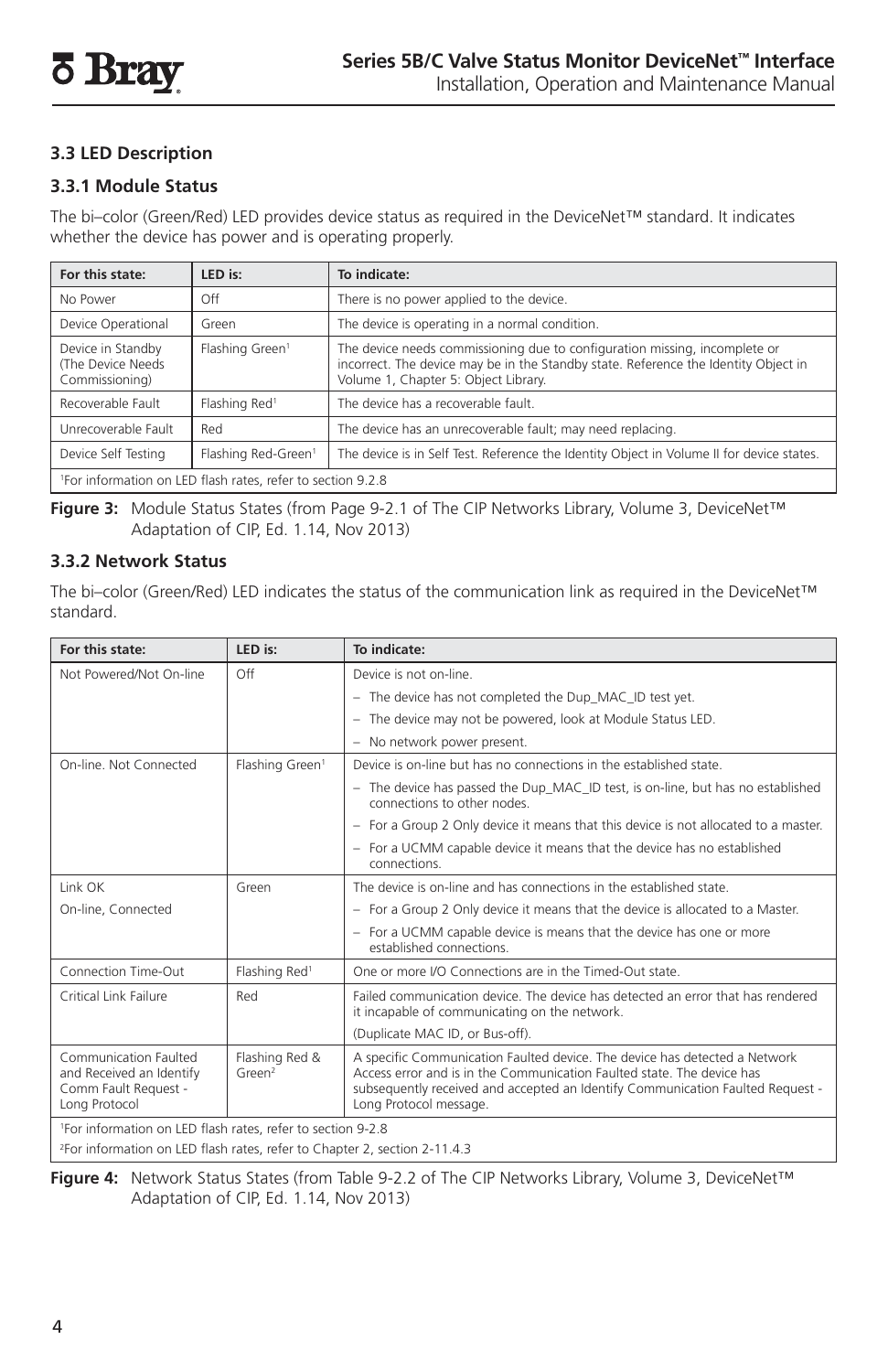# **3.3 LED Description**

#### **3.3.1 Module Status**

The bi–color (Green/Red) LED provides device status as required in the DeviceNet™ standard. It indicates whether the device has power and is operating properly.

| For this state:                                                         | LED is:                         | To indicate:                                                                                                                                                                                              |
|-------------------------------------------------------------------------|---------------------------------|-----------------------------------------------------------------------------------------------------------------------------------------------------------------------------------------------------------|
| No Power                                                                | Off                             | There is no power applied to the device.                                                                                                                                                                  |
| Device Operational                                                      | Green                           | The device is operating in a normal condition.                                                                                                                                                            |
| Device in Standby<br>(The Device Needs)<br>Commissioning)               | Flashing Green <sup>1</sup>     | The device needs commissioning due to configuration missing, incomplete or<br>incorrect. The device may be in the Standby state. Reference the Identity Object in<br>Volume 1, Chapter 5: Object Library. |
| Recoverable Fault                                                       | Flashing Red <sup>1</sup>       | The device has a recoverable fault.                                                                                                                                                                       |
| Unrecoverable Fault                                                     | Red                             | The device has an unrecoverable fault; may need replacing.                                                                                                                                                |
| Device Self Testing                                                     | Flashing Red-Green <sup>1</sup> | The device is in Self Test. Reference the Identity Object in Volume II for device states.                                                                                                                 |
| <sup>1</sup> For information on LED flash rates, refer to section 9.2.8 |                                 |                                                                                                                                                                                                           |

**Figure 3:** Module Status States (from Page 9-2.1 of The CIP Networks Library, Volume 3, DeviceNet™ Adaptation of CIP, Ed. 1.14, Nov 2013)

#### **3.3.2 Network Status**

The bi–color (Green/Red) LED indicates the status of the communication link as required in the DeviceNet™ standard.

| For this state:                                                                            | LED is:                        | To indicate:                                                                                                                                                                                                                                                     |
|--------------------------------------------------------------------------------------------|--------------------------------|------------------------------------------------------------------------------------------------------------------------------------------------------------------------------------------------------------------------------------------------------------------|
| Not Powered/Not On-line                                                                    | Off                            | Device is not on-line.                                                                                                                                                                                                                                           |
|                                                                                            |                                | - The device has not completed the Dup_MAC_ID test yet.                                                                                                                                                                                                          |
|                                                                                            |                                | - The device may not be powered, look at Module Status LED.                                                                                                                                                                                                      |
|                                                                                            |                                | - No network power present.                                                                                                                                                                                                                                      |
| On-line. Not Connected                                                                     | Flashing Green <sup>1</sup>    | Device is on-line but has no connections in the established state.                                                                                                                                                                                               |
|                                                                                            |                                | - The device has passed the Dup MAC ID test, is on-line, but has no established<br>connections to other nodes.                                                                                                                                                   |
|                                                                                            |                                | - For a Group 2 Only device it means that this device is not allocated to a master.                                                                                                                                                                              |
|                                                                                            |                                | - For a UCMM capable device it means that the device has no established<br>connections.                                                                                                                                                                          |
| Link OK                                                                                    | Green                          | The device is on-line and has connections in the established state.                                                                                                                                                                                              |
| On-line, Connected                                                                         |                                | - For a Group 2 Only device it means that the device is allocated to a Master.                                                                                                                                                                                   |
|                                                                                            |                                | - For a UCMM capable device is means that the device has one or more<br>established connections.                                                                                                                                                                 |
| Connection Time-Out                                                                        | Flashing Red <sup>1</sup>      | One or more I/O Connections are in the Timed-Out state.                                                                                                                                                                                                          |
| Critical Link Failure                                                                      | Red                            | Failed communication device. The device has detected an error that has rendered<br>it incapable of communicating on the network.                                                                                                                                 |
|                                                                                            |                                | (Duplicate MAC ID, or Bus-off).                                                                                                                                                                                                                                  |
| Communication Faulted<br>and Received an Identify<br>Comm Fault Request -<br>Long Protocol | Flashing Red &<br>$G$ reen $2$ | A specific Communication Faulted device. The device has detected a Network<br>Access error and is in the Communication Faulted state. The device has<br>subsequently received and accepted an Identify Communication Faulted Request -<br>Long Protocol message. |
| <sup>1</sup> For information on LED flash rates, refer to section 9-2.8                    |                                |                                                                                                                                                                                                                                                                  |
| <sup>2</sup> For information on LED flash rates, refer to Chapter 2, section 2-11.4.3      |                                |                                                                                                                                                                                                                                                                  |

**Figure 4:** Network Status States (from Table 9-2.2 of The CIP Networks Library, Volume 3, DeviceNet™ Adaptation of CIP, Ed. 1.14, Nov 2013)

 $\overline{\phantom{a}}$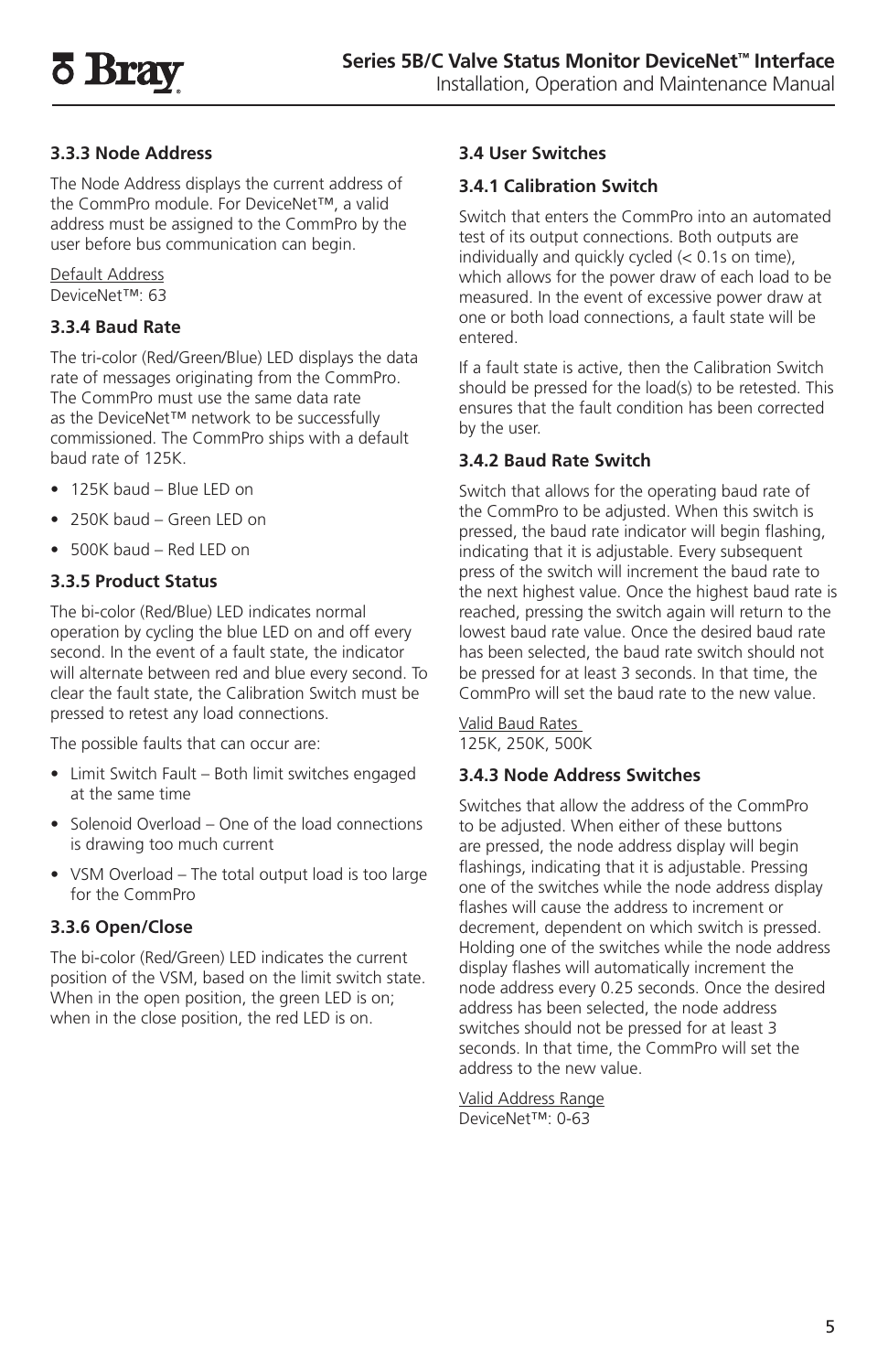# **3.3.3 Node Address**

The Node Address displays the current address of the CommPro module. For DeviceNet™, a valid address must be assigned to the CommPro by the user before bus communication can begin.

Default Address DeviceNet™: 63

# **3.3.4 Baud Rate**

The tri-color (Red/Green/Blue) LED displays the data rate of messages originating from the CommPro. The CommPro must use the same data rate as the DeviceNet™ network to be successfully commissioned. The CommPro ships with a default baud rate of 125K.

- 125K baud Blue LED on
- 250K baud Green LED on
- 500K baud Red LED on

#### **3.3.5 Product Status**

The bi-color (Red/Blue) LED indicates normal operation by cycling the blue LED on and off every second. In the event of a fault state, the indicator will alternate between red and blue every second. To clear the fault state, the Calibration Switch must be pressed to retest any load connections.

The possible faults that can occur are:

- Limit Switch Fault Both limit switches engaged at the same time
- Solenoid Overload One of the load connections is drawing too much current
- VSM Overload The total output load is too large for the CommPro

# **3.3.6 Open/Close**

The bi-color (Red/Green) LED indicates the current position of the VSM, based on the limit switch state. When in the open position, the green LED is on; when in the close position, the red LED is on.

#### **3.4 User Switches**

#### **3.4.1 Calibration Switch**

Switch that enters the CommPro into an automated test of its output connections. Both outputs are individually and quickly cycled (< 0.1s on time), which allows for the power draw of each load to be measured. In the event of excessive power draw at one or both load connections, a fault state will be entered.

If a fault state is active, then the Calibration Switch should be pressed for the load(s) to be retested. This ensures that the fault condition has been corrected by the user.

#### **3.4.2 Baud Rate Switch**

Switch that allows for the operating baud rate of the CommPro to be adjusted. When this switch is pressed, the baud rate indicator will begin flashing, indicating that it is adjustable. Every subsequent press of the switch will increment the baud rate to the next highest value. Once the highest baud rate is reached, pressing the switch again will return to the lowest baud rate value. Once the desired baud rate has been selected, the baud rate switch should not be pressed for at least 3 seconds. In that time, the CommPro will set the baud rate to the new value.

Valid Baud Rates 125K, 250K, 500K

# **3.4.3 Node Address Switches**

Switches that allow the address of the CommPro to be adjusted. When either of these buttons are pressed, the node address display will begin flashings, indicating that it is adjustable. Pressing one of the switches while the node address display flashes will cause the address to increment or decrement, dependent on which switch is pressed. Holding one of the switches while the node address display flashes will automatically increment the node address every 0.25 seconds. Once the desired address has been selected, the node address switches should not be pressed for at least 3 seconds. In that time, the CommPro will set the address to the new value.

Valid Address Range DeviceNet™: 0-63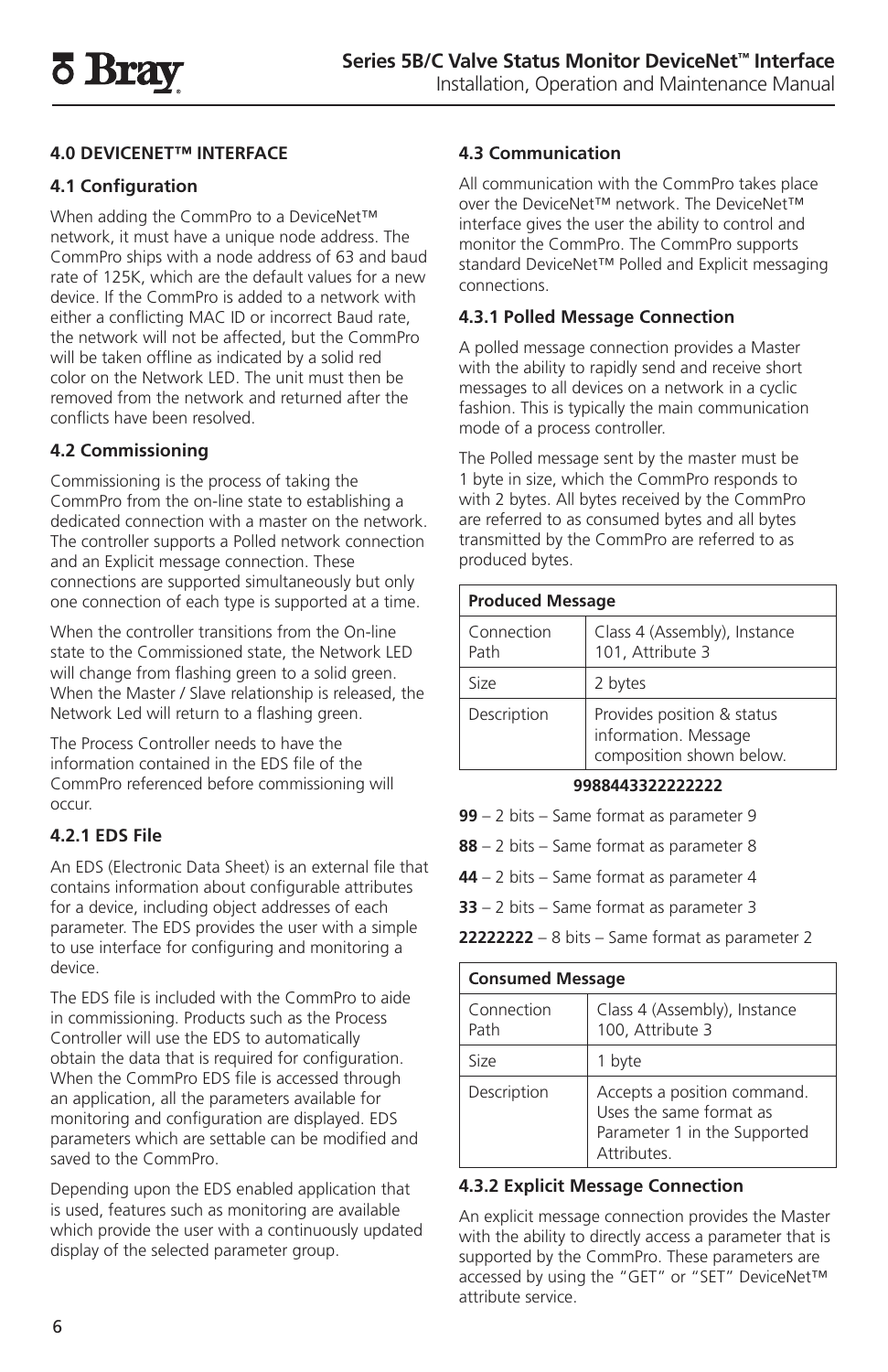# **4.0 DEVICENET™ INTERFACE**

# **4.1 Configuration**

When adding the CommPro to a DeviceNet™ network, it must have a unique node address. The CommPro ships with a node address of 63 and baud rate of 125K, which are the default values for a new device. If the CommPro is added to a network with either a conflicting MAC ID or incorrect Baud rate, the network will not be affected, but the CommPro will be taken offline as indicated by a solid red color on the Network LED. The unit must then be removed from the network and returned after the conflicts have been resolved.

# **4.2 Commissioning**

Commissioning is the process of taking the CommPro from the on-line state to establishing a dedicated connection with a master on the network. The controller supports a Polled network connection and an Explicit message connection. These connections are supported simultaneously but only one connection of each type is supported at a time.

When the controller transitions from the On-line state to the Commissioned state, the Network LED will change from flashing green to a solid green. When the Master / Slave relationship is released, the Network Led will return to a flashing green.

The Process Controller needs to have the information contained in the EDS file of the CommPro referenced before commissioning will occur.

# **4.2.1 EDS File**

An EDS (Electronic Data Sheet) is an external file that contains information about configurable attributes for a device, including object addresses of each parameter. The EDS provides the user with a simple to use interface for configuring and monitoring a device.

The EDS file is included with the CommPro to aide in commissioning. Products such as the Process Controller will use the EDS to automatically obtain the data that is required for configuration. When the CommPro EDS file is accessed through an application, all the parameters available for monitoring and configuration are displayed. EDS parameters which are settable can be modified and saved to the CommPro.

Depending upon the EDS enabled application that is used, features such as monitoring are available which provide the user with a continuously updated display of the selected parameter group.

# **4.3 Communication**

All communication with the CommPro takes place over the DeviceNet™ network. The DeviceNet™ interface gives the user the ability to control and monitor the CommPro. The CommPro supports standard DeviceNet™ Polled and Explicit messaging connections.

#### **4.3.1 Polled Message Connection**

A polled message connection provides a Master with the ability to rapidly send and receive short messages to all devices on a network in a cyclic fashion. This is typically the main communication mode of a process controller.

The Polled message sent by the master must be 1 byte in size, which the CommPro responds to with 2 bytes. All bytes received by the CommPro are referred to as consumed bytes and all bytes transmitted by the CommPro are referred to as produced bytes.

| <b>Produced Message</b> |                                                                                |
|-------------------------|--------------------------------------------------------------------------------|
| Connection<br>Path      | Class 4 (Assembly), Instance<br>101, Attribute 3                               |
| Size                    | 2 bytes                                                                        |
| Description             | Provides position & status<br>information. Message<br>composition shown below. |

#### **9988443322222222**

**99** – 2 bits – Same format as parameter 9

- **88**  2 bits Same format as parameter 8
- **44**  2 bits Same format as parameter 4
- **33** 2 bits Same format as parameter 3

**22222222** – 8 bits – Same format as parameter 2

| <b>Consumed Message</b> |                                                                                                             |
|-------------------------|-------------------------------------------------------------------------------------------------------------|
| Connection<br>Path      | Class 4 (Assembly), Instance<br>100, Attribute 3                                                            |
| Size                    | 1 byte                                                                                                      |
| Description             | Accepts a position command.<br>Uses the same format as<br>Parameter 1 in the Supported<br><b>Attributes</b> |

# **4.3.2 Explicit Message Connection**

An explicit message connection provides the Master with the ability to directly access a parameter that is supported by the CommPro. These parameters are accessed by using the "GET" or "SET" DeviceNet™ attribute service.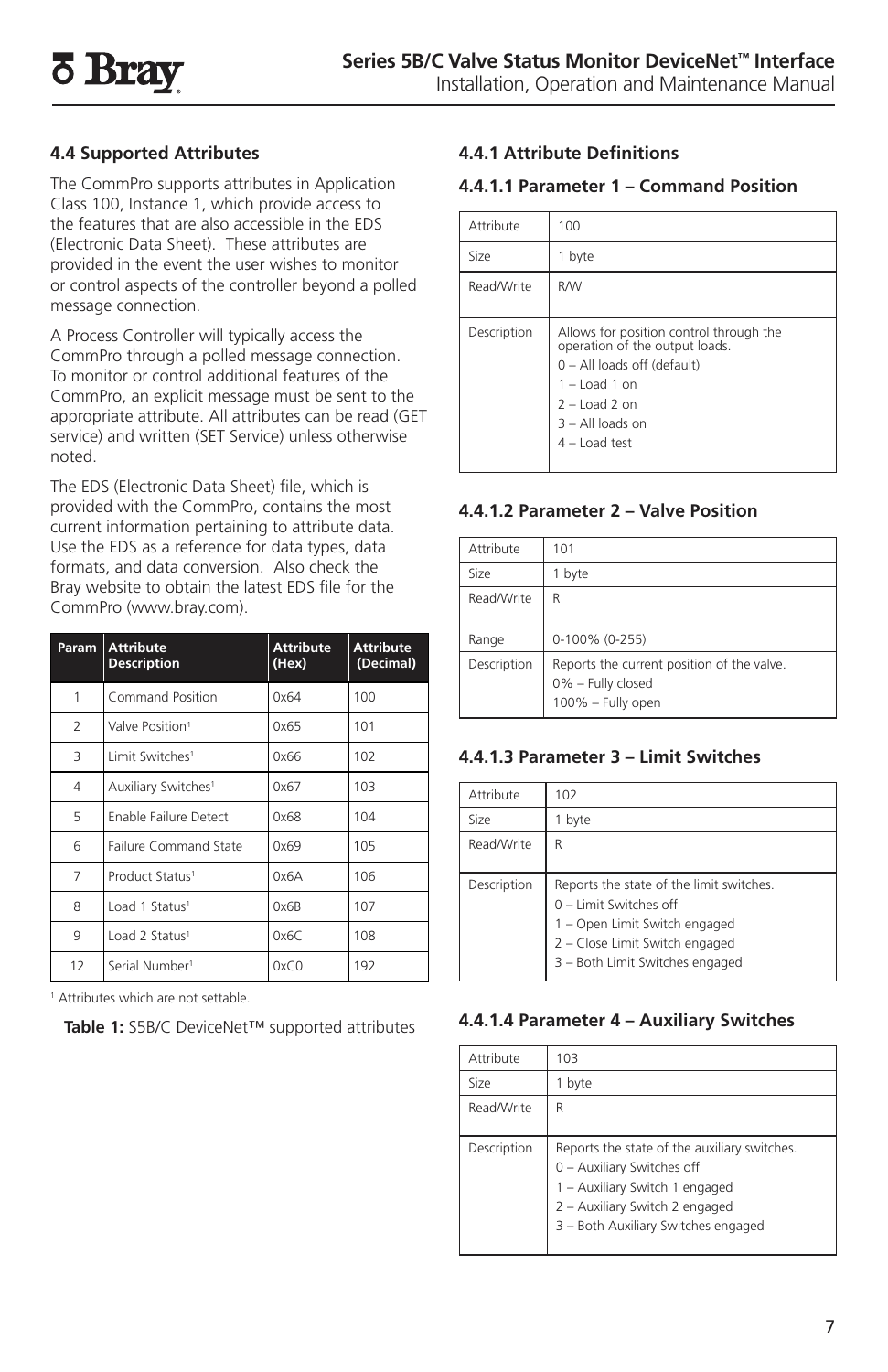# **4.4 Supported Attributes**

The CommPro supports attributes in Application Class 100, Instance 1, which provide access to the features that are also accessible in the EDS (Electronic Data Sheet). These attributes are provided in the event the user wishes to monitor or control aspects of the controller beyond a polled message connection.

A Process Controller will typically access the CommPro through a polled message connection. To monitor or control additional features of the CommPro, an explicit message must be sent to the appropriate attribute. All attributes can be read (GET service) and written (SET Service) unless otherwise noted.

The EDS (Electronic Data Sheet) file, which is provided with the CommPro, contains the most current information pertaining to attribute data. Use the EDS as a reference for data types, data formats, and data conversion. Also check the Bray website to obtain the latest EDS file for the CommPro (www.bray.com).

| Param                    | <b>Attribute</b><br><b>Description</b> | <b>Attribute</b><br>(Hex) | <b>Attribute</b><br>(Decimal) |
|--------------------------|----------------------------------------|---------------------------|-------------------------------|
| 1                        | Command Position                       | 0x64                      | 100                           |
| $\overline{\phantom{a}}$ | Valve Position <sup>1</sup>            | 0x65                      | 101                           |
| 3                        | Limit Switches <sup>1</sup>            | 0x66                      | 102                           |
| 4                        | Auxiliary Switches <sup>1</sup>        | 0x67                      | 103                           |
| 5                        | <b>Enable Failure Detect</b>           | 0x68                      | 104                           |
| 6                        | Failure Command State                  | 0x69                      | 105                           |
| $\overline{7}$           | Product Status <sup>1</sup>            | 0x6A                      | 106                           |
| 8                        | Load 1 Status <sup>1</sup>             | 0x6B                      | 107                           |
| 9                        | Load 2 Status <sup>1</sup>             | 0x6C                      | 108                           |
| 12                       | Serial Number <sup>1</sup>             | 0xC0                      | 192                           |

1 Attributes which are not settable.

**Table 1:** S5B/C DeviceNet™ supported attributes

# **4.4.1 Attribute Definitions**

#### **4.4.1.1 Parameter 1 – Command Position**

| Attribute   | 100                                                                                                                                                                                      |
|-------------|------------------------------------------------------------------------------------------------------------------------------------------------------------------------------------------|
| Size        | 1 byte                                                                                                                                                                                   |
| Read/Write  | <b>R/W</b>                                                                                                                                                                               |
| Description | Allows for position control through the<br>operation of the output loads.<br>0 - All loads off (default)<br>$1 -$ Load 1 on<br>$2 -$ Load 2 on<br>$3 - All$ loads on<br>$4 -$ I oad test |

#### **4.4.1.2 Parameter 2 – Valve Position**

| Attribute   | 101                                                                                  |
|-------------|--------------------------------------------------------------------------------------|
| Size        | 1 byte                                                                               |
| Read/Write  | R                                                                                    |
| Range       | 0-100% (0-255)                                                                       |
| Description | Reports the current position of the valve.<br>0% - Fully closed<br>100% - Fully open |

# **4.4.1.3 Parameter 3 – Limit Switches**

| Attribute   | 102                                                                                                                                                                      |
|-------------|--------------------------------------------------------------------------------------------------------------------------------------------------------------------------|
| Size        | byte                                                                                                                                                                     |
| Read/Write  | R                                                                                                                                                                        |
| Description | Reports the state of the limit switches.<br>0 - Limit Switches off<br>1 - Open Limit Switch engaged<br>2 - Close Limit Switch engaged<br>3 - Both Limit Switches engaged |

#### **4.4.1.4 Parameter 4 – Auxiliary Switches**

| Attribute   | 103                                                                                                                                                                                   |
|-------------|---------------------------------------------------------------------------------------------------------------------------------------------------------------------------------------|
| Size        | 1 byte                                                                                                                                                                                |
| Read/Write  | R                                                                                                                                                                                     |
| Description | Reports the state of the auxiliary switches.<br>0 - Auxiliary Switches off<br>1 - Auxiliary Switch 1 engaged<br>2 - Auxiliary Switch 2 engaged<br>3 - Both Auxiliary Switches engaged |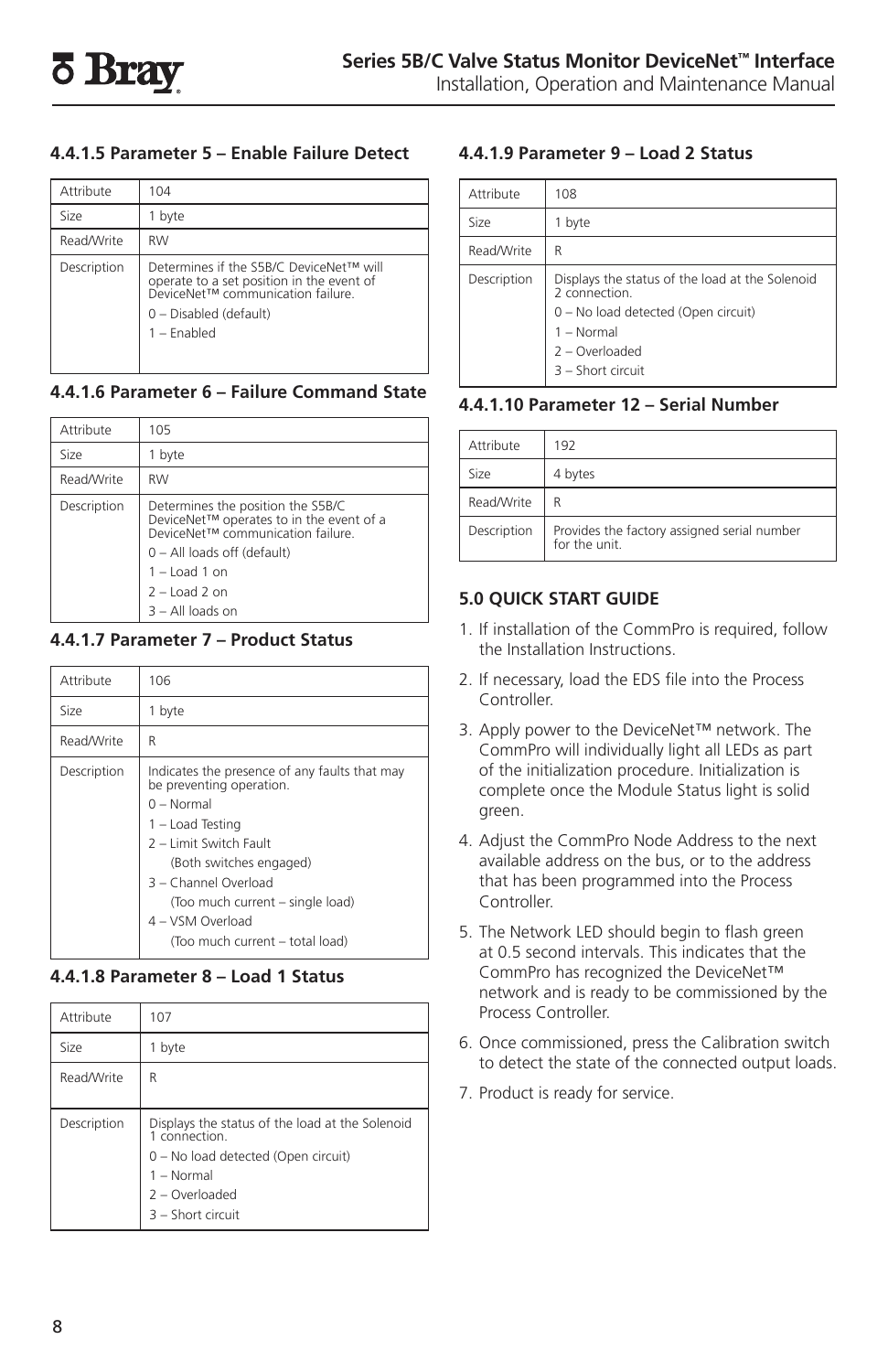#### **4.4.1.5 Parameter 5 – Enable Failure Detect**

| Attribute   | 104                                                                                                                                                                  |
|-------------|----------------------------------------------------------------------------------------------------------------------------------------------------------------------|
| Size        | byte                                                                                                                                                                 |
| Read/Write  | <b>RW</b>                                                                                                                                                            |
| Description | Determines if the S5B/C DeviceNet™ will<br>operate to a set position in the event of<br>DeviceNet™ communication failure.<br>0 - Disabled (default)<br>$1 -$ Fnabled |

#### **4.4.1.6 Parameter 6 – Failure Command State**

| Attribute   | 105                                                                                                                                                                                                           |
|-------------|---------------------------------------------------------------------------------------------------------------------------------------------------------------------------------------------------------------|
| Size        | 1 byte                                                                                                                                                                                                        |
| Read/Write  | <b>RW</b>                                                                                                                                                                                                     |
| Description | Determines the position the S5B/C<br>DeviceNet™ operates to in the event of a<br>DeviceNet™ communication failure.<br>0 - All loads off (default)<br>$1 -$ Load 1 on<br>$2 -$ Load 2 on<br>$3 - All$ loads on |

#### **4.4.1.7 Parameter 7 – Product Status**

| Attribute   | 106                                                                                                                                                                                                                                                                                   |
|-------------|---------------------------------------------------------------------------------------------------------------------------------------------------------------------------------------------------------------------------------------------------------------------------------------|
| Size        | 1 byte                                                                                                                                                                                                                                                                                |
| Read/Write  | R                                                                                                                                                                                                                                                                                     |
| Description | Indicates the presence of any faults that may<br>be preventing operation.<br>$0 - Normal$<br>1 - Load Testing<br>2 - Limit Switch Fault<br>(Both switches engaged)<br>3 - Channel Overload<br>(Too much current - single load)<br>4 - VSM Overload<br>(Too much current - total load) |

# **4.4.1.8 Parameter 8 – Load 1 Status**

| Attribute   | 107                                                                                                                                                            |
|-------------|----------------------------------------------------------------------------------------------------------------------------------------------------------------|
| Size        | byte                                                                                                                                                           |
| Read/Write  | R                                                                                                                                                              |
| Description | Displays the status of the load at the Solenoid<br>1 connection.<br>0 - No load detected (Open circuit)<br>1 - Normal<br>2 - Overloaded<br>$3 -$ Short circuit |

### **4.4.1.9 Parameter 9 – Load 2 Status**

| Attribute   | 108                                                                                                                                                              |
|-------------|------------------------------------------------------------------------------------------------------------------------------------------------------------------|
| Size        | 1 byte                                                                                                                                                           |
| Read/Write  | R                                                                                                                                                                |
| Description | Displays the status of the load at the Solenoid<br>2 connection.<br>0 - No load detected (Open circuit)<br>1 - Normal<br>$2 -$ Overloaded<br>$3 -$ Short circuit |

#### **4.4.1.10 Parameter 12 – Serial Number**

| Attribute                                                                   | 192     |
|-----------------------------------------------------------------------------|---------|
| Size                                                                        | 4 bytes |
| Read/Write<br>R                                                             |         |
| Provides the factory assigned serial number<br>Description<br>for the unit. |         |

# **5.0 QUICK START GUIDE**

- 1. If installation of the CommPro is required, follow the Installation Instructions.
- 2. If necessary, load the EDS file into the Process Controller.
- 3. Apply power to the DeviceNet™ network. The CommPro will individually light all LEDs as part of the initialization procedure. Initialization is complete once the Module Status light is solid green.
- 4. Adjust the CommPro Node Address to the next available address on the bus, or to the address that has been programmed into the Process Controller.
- 5. The Network LED should begin to flash green at 0.5 second intervals. This indicates that the CommPro has recognized the DeviceNet™ network and is ready to be commissioned by the Process Controller.
- 6. Once commissioned, press the Calibration switch to detect the state of the connected output loads.
- 7. Product is ready for service.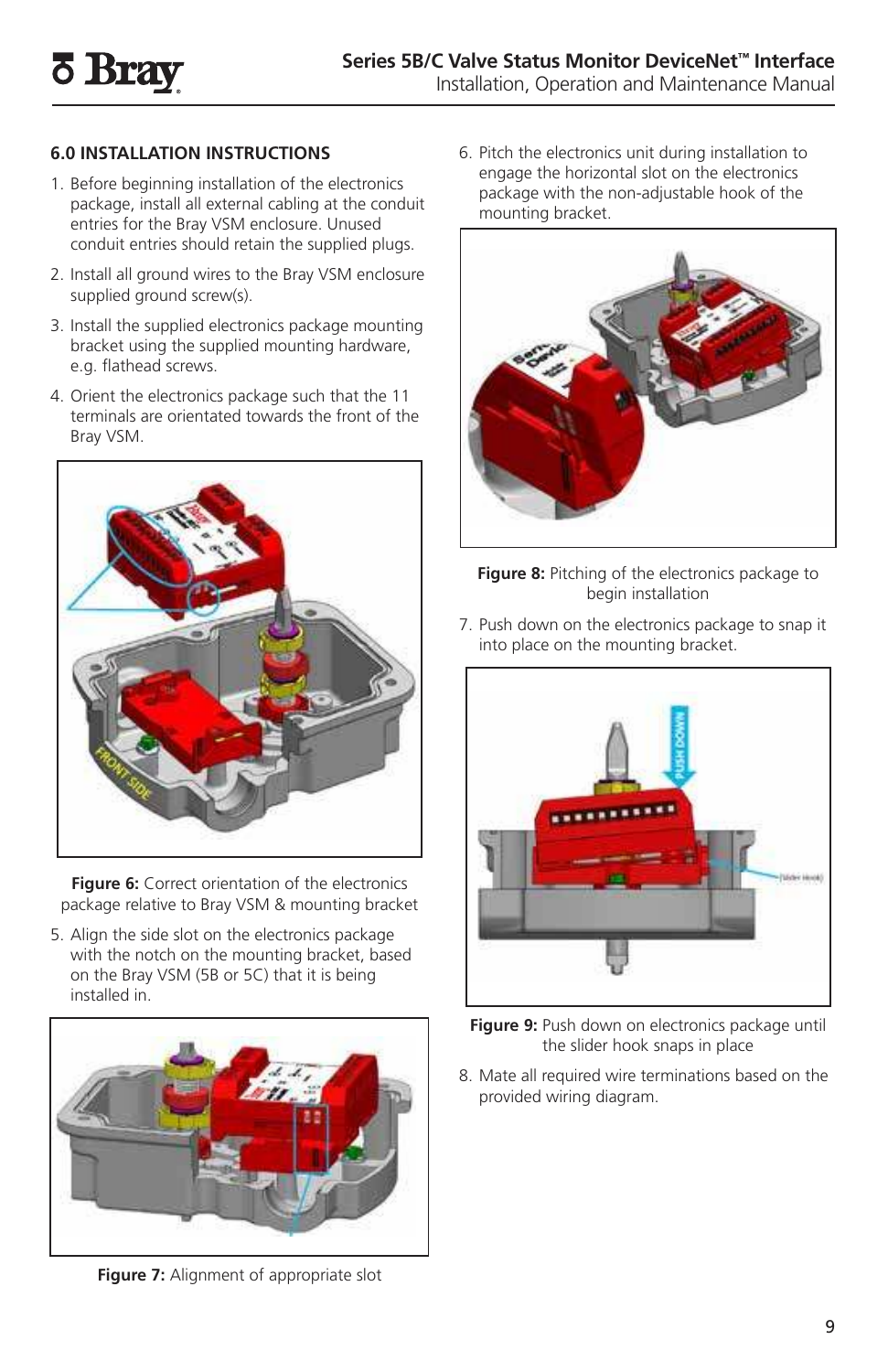# **6.0 INSTALLATION INSTRUCTIONS**

- 1. Before beginning installation of the electronics package, install all external cabling at the conduit entries for the Bray VSM enclosure. Unused conduit entries should retain the supplied plugs.
- 2. Install all ground wires to the Bray VSM enclosure supplied ground screw(s).
- 3. Install the supplied electronics package mounting bracket using the supplied mounting hardware, e.g. flathead screws.
- 4. Orient the electronics package such that the 11 terminals are orientated towards the front of the Bray VSM.



**Figure 6:** Correct orientation of the electronics package relative to Bray VSM & mounting bracket

5. Align the side slot on the electronics package with the notch on the mounting bracket, based on the Bray VSM (5B or 5C) that it is being installed in.



**Figure 7:** Alignment of appropriate slot

6. Pitch the electronics unit during installation to engage the horizontal slot on the electronics package with the non-adjustable hook of the mounting bracket.



**Figure 8:** Pitching of the electronics package to begin installation

7. Push down on the electronics package to snap it into place on the mounting bracket.



- **Figure 9:** Push down on electronics package until the slider hook snaps in place
- 8. Mate all required wire terminations based on the provided wiring diagram.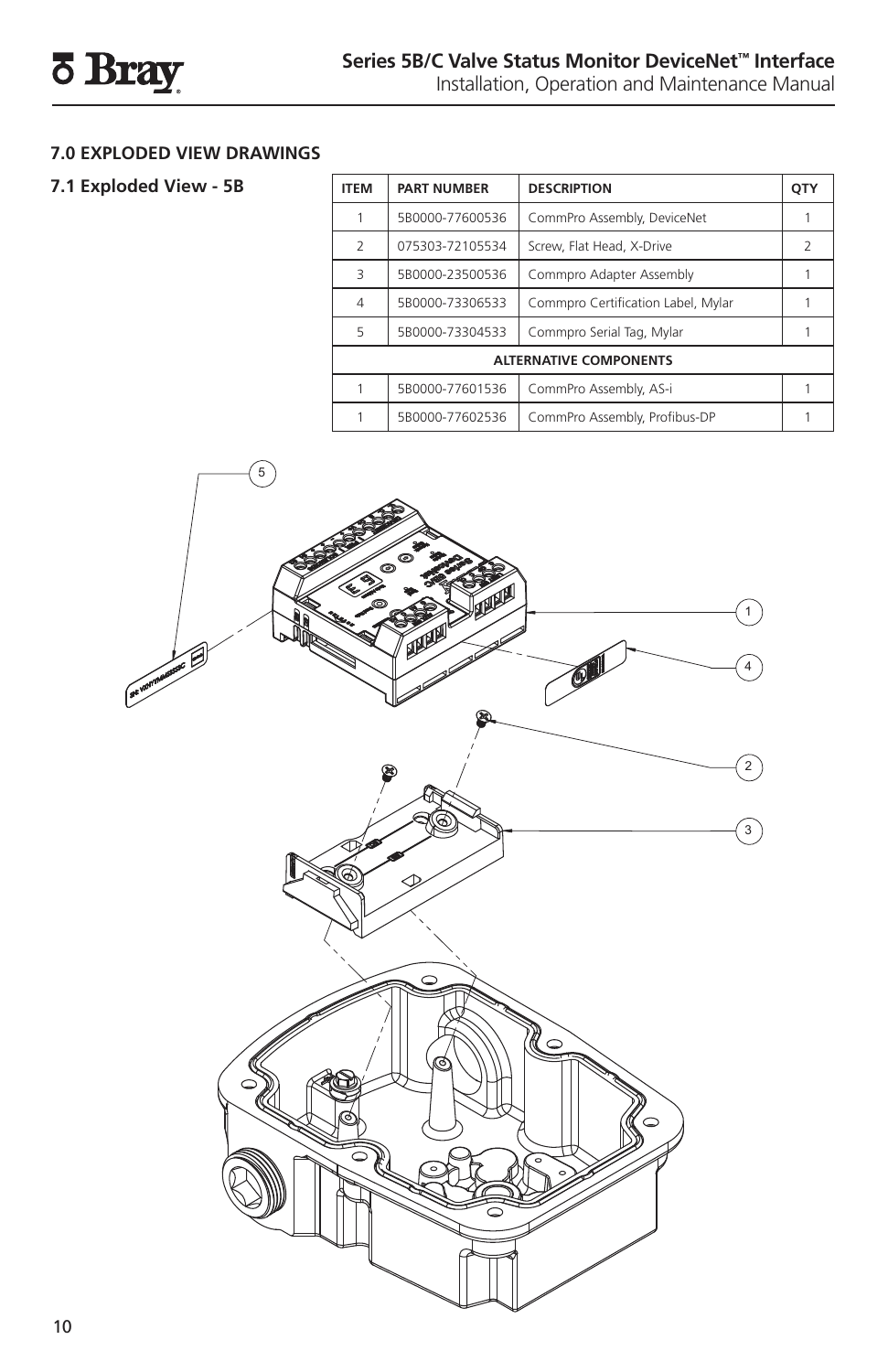# **7.0 EXPLODED VIEW DRAWINGS**

# **7.1 Exploded View - 5B**

| <b>ITEM</b>                   | <b>PART NUMBER</b> | <b>DESCRIPTION</b>                 | QTY |
|-------------------------------|--------------------|------------------------------------|-----|
|                               | 5B0000-77600536    | CommPro Assembly, DeviceNet        |     |
| $\overline{\phantom{a}}$      | 075303-72105534    | Screw, Flat Head, X-Drive          |     |
| $\overline{z}$                | 5B0000-23500536    | Commpro Adapter Assembly           |     |
| $\overline{4}$                | 5B0000-73306533    | Commpro Certification Label, Mylar |     |
| 5                             | 5B0000-73304533    | Commpro Serial Tag, Mylar          |     |
| <b>ALTERNATIVE COMPONENTS</b> |                    |                                    |     |
|                               | 5B0000-77601536    | CommPro Assembly, AS-i             |     |
|                               | 5B0000-77602536    | CommPro Assembly, Profibus-DP      |     |

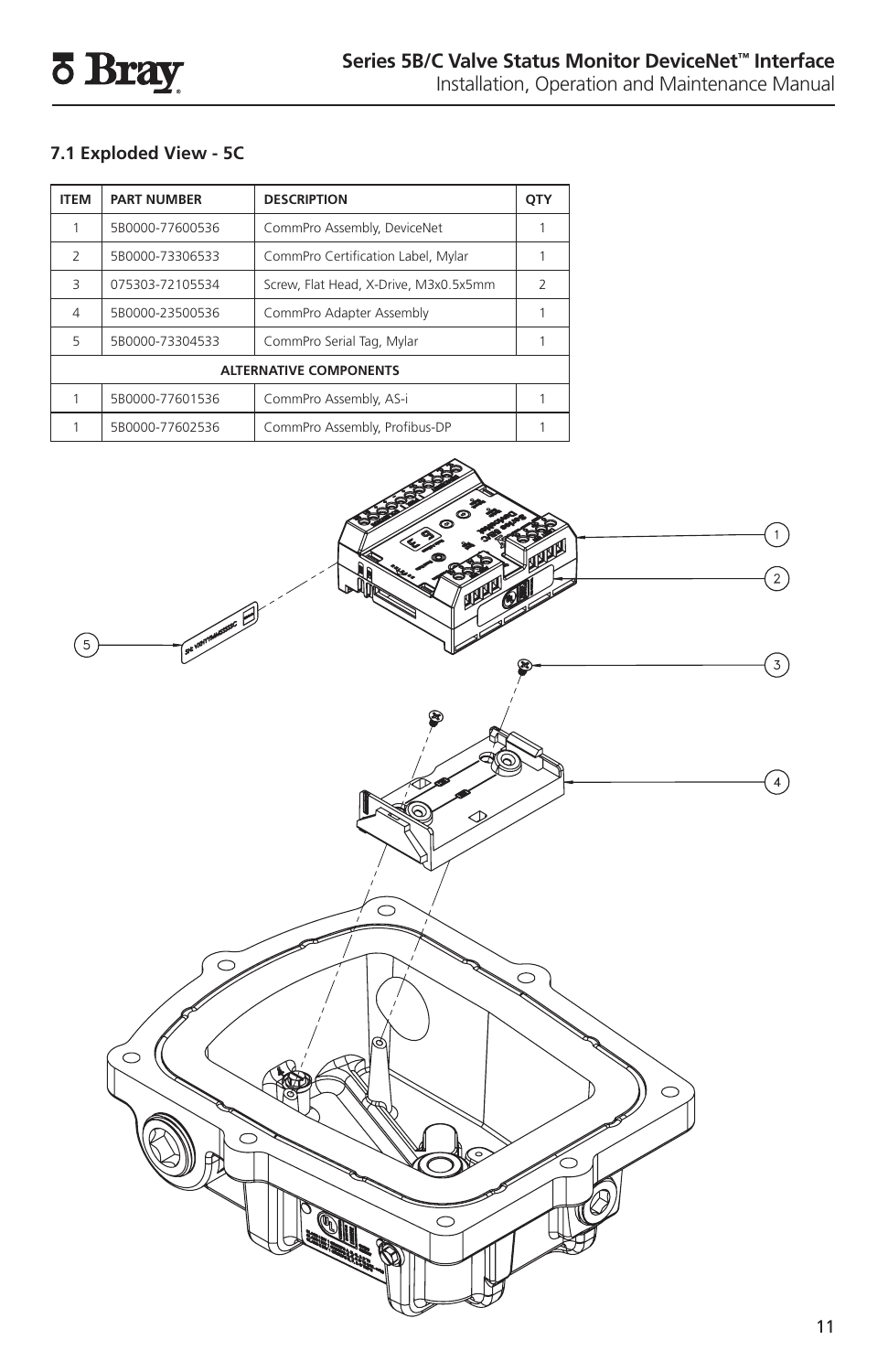# **7.1 Exploded View - 5C**

| <b>ITEM</b>                   | <b>PART NUMBER</b> | <b>DESCRIPTION</b>                    |               |
|-------------------------------|--------------------|---------------------------------------|---------------|
|                               | 5B0000-77600536    | CommPro Assembly, DeviceNet           |               |
| $\overline{\phantom{a}}$      | 5B0000-73306533    | CommPro Certification Label, Mylar    |               |
| 3                             | 075303-72105534    | Screw, Flat Head, X-Drive, M3x0.5x5mm | $\mathcal{L}$ |
| 4                             | 5B0000-23500536    | CommPro Adapter Assembly              |               |
| 5                             | 5B0000-73304533    | CommPro Serial Tag, Mylar             |               |
| <b>ALTERNATIVE COMPONENTS</b> |                    |                                       |               |
|                               | 5B0000-77601536    | CommPro Assembly, AS-i                |               |
|                               | 5B0000-77602536    | CommPro Assembly, Profibus-DP         |               |

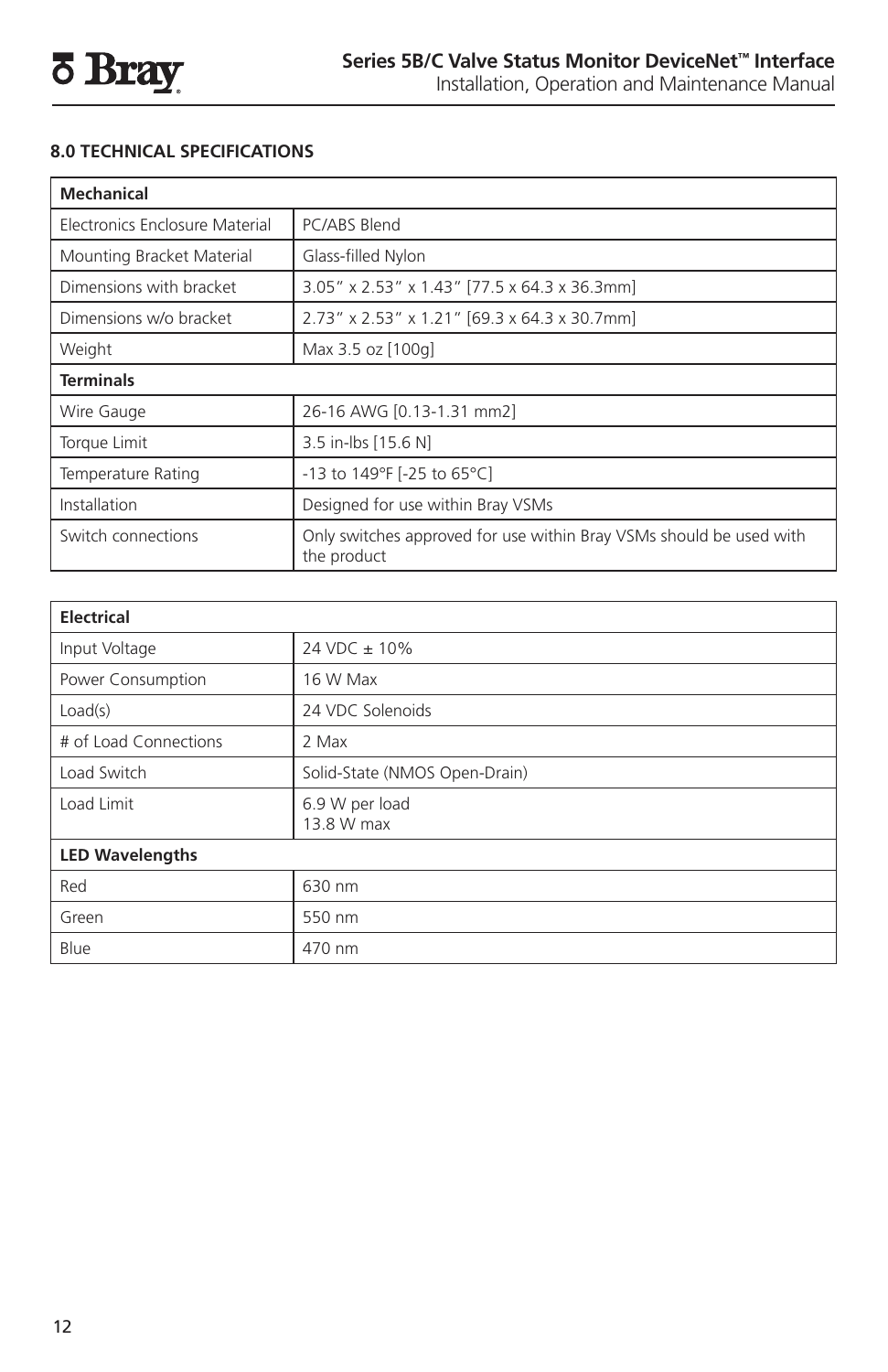# **8.0 TECHNICAL SPECIFICATIONS**

| <b>Mechanical</b>              |                                                                                    |  |
|--------------------------------|------------------------------------------------------------------------------------|--|
| Electronics Enclosure Material | PC/ABS Blend                                                                       |  |
| Mounting Bracket Material      | Glass-filled Nylon                                                                 |  |
| Dimensions with bracket        | 3.05" x 2.53" x 1.43" [77.5 x 64.3 x 36.3mm]                                       |  |
| Dimensions w/o bracket         | 2.73" x 2.53" x 1.21" [69.3 x 64.3 x 30.7mm]                                       |  |
| Weight                         | Max 3.5 oz [100g]                                                                  |  |
| <b>Terminals</b>               |                                                                                    |  |
| Wire Gauge                     | 26-16 AWG [0.13-1.31 mm2]                                                          |  |
| Torque Limit                   | 3.5 in-lbs [15.6 N]                                                                |  |
| Temperature Rating             | -13 to 149°F [-25 to 65°C]                                                         |  |
| Installation                   | Designed for use within Bray VSMs                                                  |  |
| Switch connections             | Only switches approved for use within Bray VSMs should be used with<br>the product |  |

| <b>Electrical</b>      |                               |  |
|------------------------|-------------------------------|--|
| Input Voltage          | 24 VDC ± 10%                  |  |
| Power Consumption      | 16 W Max                      |  |
| Load(s)                | 24 VDC Solenoids              |  |
| # of Load Connections  | 2 Max                         |  |
| Load Switch            | Solid-State (NMOS Open-Drain) |  |
| Load Limit             | 6.9 W per load<br>13.8 W max  |  |
| <b>LED Wavelengths</b> |                               |  |
| Red                    | 630 nm                        |  |
| Green                  | 550 nm                        |  |
| Blue                   | 470 nm                        |  |